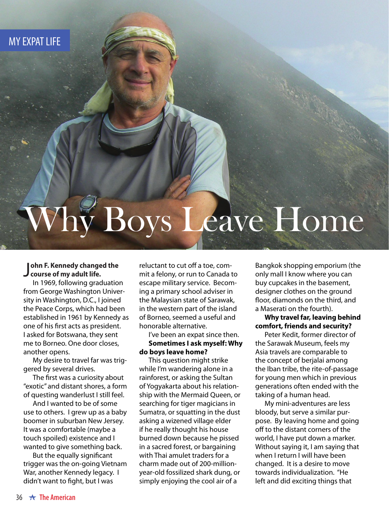MY EXPAT LIFE

# Why Boys Leave Home

#### J **course of my adult life. ohn F. Kennedy changed the**

In 1969, following graduation from George Washington University in Washington, D.C., I joined the Peace Corps, which had been established in 1961 by Kennedy as one of his first acts as president. I asked for Botswana, they sent me to Borneo. One door closes, another opens.

My desire to travel far was triggered by several drives.

The first was a curiosity about "exotic" and distant shores, a form of questing wanderlust I still feel.

And I wanted to be of some use to others. I grew up as a baby boomer in suburban New Jersey. It was a comfortable (maybe a touch spoiled) existence and I wanted to give something back.

But the equally significant trigger was the on-going Vietnam War, another Kennedy legacy. I didn't want to fight, but I was

reluctant to cut off a toe, commit a felony, or run to Canada to escape military service. Becoming a primary school adviser in the Malaysian state of Sarawak, in the western part of the island of Borneo, seemed a useful and honorable alternative.

#### I've been an expat since then. **Sometimes I ask myself: Why do boys leave home?**

This question might strike while I'm wandering alone in a rainforest, or asking the Sultan of Yogyakarta about his relationship with the Mermaid Queen, or searching for tiger magicians in Sumatra, or squatting in the dust asking a wizened village elder if he really thought his house burned down because he pissed in a sacred forest, or bargaining with Thai amulet traders for a charm made out of 200-millionyear-old fossilized shark dung, or simply enjoying the cool air of a

Bangkok shopping emporium (the only mall I know where you can buy cupcakes in the basement, designer clothes on the ground floor, diamonds on the third, and a Maserati on the fourth).

#### **Why travel far, leaving behind comfort, friends and security?**

Peter Kedit, former director of the Sarawak Museum, feels my Asia travels are comparable to the concept of berjalai among the Iban tribe, the rite-of-passage for young men which in previous generations often ended with the taking of a human head.

My mini-adventures are less bloody, but serve a similar purpose. By leaving home and going off to the distant corners of the world, I have put down a marker. Without saying it, I am saying that when I return I will have been changed. It is a desire to move towards individualization. "He left and did exciting things that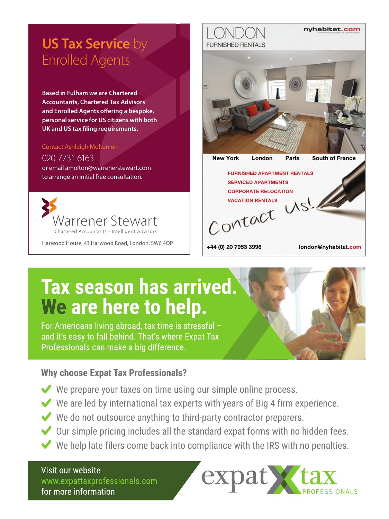### **US Tax Service** by Enrolled Agents

**Based in Fulham we are Chartered Accountants, Chartered Tax Advisors and Enrolled Agents offering a bespoke, personal service for US citizens with both UK and US tax filing requirements.** 

#### Contact Ashleigh Molton on

#### 020 7731 6163

or email amolton@warrenerstewart.com to arrange an initial free consultation.



Harwood House, 43 Harwood Road, London, SW6 4QP

## **FURNISHED RENTALS New York** London Paris South of France **FURNISHED APARTMENT RENTALS SERVICED APARTMENTS CORPORATE RELOCATION** CONTRATE RELOCATION

+44 (0) 20 7953 3996

london@nyhabitat.com

nyhabitat.com

## Tax season has arrived. We are here to help.

For Americans living abroad, tax time is stressful and it's easy to fall behind. That's where Expat Tax Professionals can make a big difference.

#### **Why choose Expat Tax Professionals?**

- $\blacktriangleright$  We prepare your taxes on time using our simple online process.
- $\blacktriangleright$  We are led by international tax experts with years of Big 4 firm experience.
- $\blacktriangleright$  We do not outsource anything to third-party contractor preparers.
- $\blacktriangleright$  Our simple pricing includes all the standard expat forms with no hidden fees.
- $\blacktriangleright$  We help late filers come back into compliance with the IRS with no penalties.

Visit our website www.expattaxprofessionals.com for more information